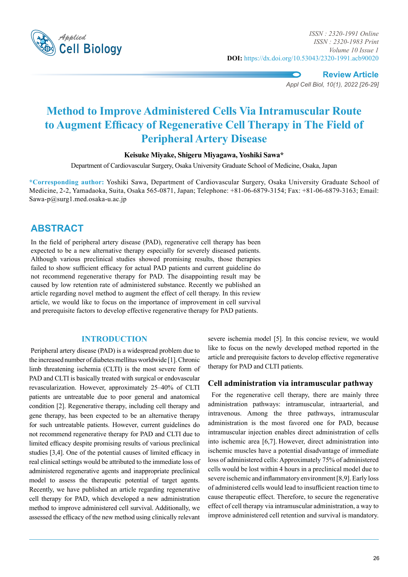

**Review Article** *Appl Cell Biol, 10(1), 2022 [26-29]*

# **Method to Improve Administered Cells Via Intramuscular Route to Augment Efficacy of Regenerative Cell Therapy in The Field of Peripheral Artery Disease**

## **Keisuke Miyake, Shigeru Miyagawa, Yoshiki Sawa\***

Department of Cardiovascular Surgery, Osaka University Graduate School of Medicine, Osaka, Japan

**\*Corresponding author:** Yoshiki Sawa, Department of Cardiovascular Surgery, Osaka University Graduate School of Medicine, 2-2, Yamadaoka, Suita, Osaka 565-0871, Japan; Telephone: +81-06-6879-3154; Fax: +81-06-6879-3163; Email: Sawa-p@surg1.med.osaka-u.ac.jp

## **Abstract**

In the field of peripheral artery disease (PAD), regenerative cell therapy has been expected to be a new alternative therapy especially for severely diseased patients. Although various preclinical studies showed promising results, those therapies failed to show sufficient efficacy for actual PAD patients and current guideline do not recommend regenerative therapy for PAD. The disappointing result may be caused by low retention rate of administered substance. Recently we published an article regarding novel method to augment the effect of cell therapy. In this review article, we would like to focus on the importance of improvement in cell survival and prerequisite factors to develop effective regenerative therapy for PAD patients.

### **Introduction**

 Peripheral artery disease (PAD) is a widespread problem due to the increased number of diabetes mellitus worldwide [1]. Chronic limb threatening ischemia (CLTI) is the most severe form of PAD and CLTI is basically treated with surgical or endovascular revascularization. However, approximately 25–40% of CLTI patients are untreatable due to poor general and anatomical condition [2]. Regenerative therapy, including cell therapy and gene therapy, has been expected to be an alternative therapy for such untreatable patients. However, current guidelines do not recommend regenerative therapy for PAD and CLTI due to limited efficacy despite promising results of various preclinical studies [3,4]. One of the potential causes of limited efficacy in real clinical settings would be attributed to the immediate loss of administered regenerative agents and inappropriate preclinical model to assess the therapeutic potential of target agents. Recently, we have published an article regarding regenerative cell therapy for PAD, which developed a new administration method to improve administered cell survival. Additionally, we assessed the efficacy of the new method using clinically relevant severe ischemia model [5]. In this concise review, we would like to focus on the newly developed method reported in the article and prerequisite factors to develop effective regenerative therapy for PAD and CLTI patients.

### **Cell administration via intramuscular pathway**

 For the regenerative cell therapy, there are mainly three administration pathways: intramuscular, intraarterial, and intravenous. Among the three pathways, intramuscular administration is the most favored one for PAD, because intramuscular injection enables direct administration of cells into ischemic area [6,7]. However, direct administration into ischemic muscles have a potential disadvantage of immediate loss of administered cells: Approximately 75% of administered cells would be lost within 4 hours in a preclinical model due to severe ischemic and inflammatory environment [8,9]. Early loss of administered cells would lead to insufficient reaction time to cause therapeutic effect. Therefore, to secure the regenerative effect of cell therapy via intramuscular administration, a way to improve administered cell retention and survival is mandatory.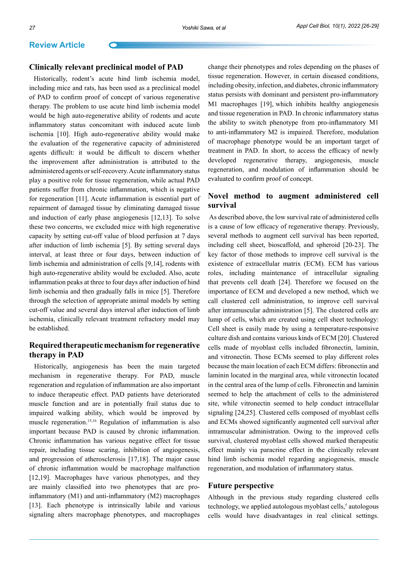## **Review Article**

#### **Clinically relevant preclinical model of PAD**

 Historically, rodent's acute hind limb ischemia model, including mice and rats, has been used as a preclinical model of PAD to confirm proof of concept of various regenerative therapy. The problem to use acute hind limb ischemia model would be high auto-regenerative ability of rodents and acute inflammatory status concomitant with induced acute limb ischemia [10]. High auto-regenerative ability would make the evaluation of the regenerative capacity of administered agents difficult: it would be difficult to discern whether the improvement after administration is attributed to the administered agents or self-recovery. Acute inflammatory status play a positive role for tissue regeneration, while actual PAD patients suffer from chronic inflammation, which is negative for regeneration [11]. Acute inflammation is essential part of repairment of damaged tissue by eliminating damaged tissue and induction of early phase angiogenesis [12,13]. To solve these two concerns, we excluded mice with high regenerative capacity by setting cut-off value of blood perfusion at 7 days after induction of limb ischemia [5]. By setting several days interval, at least three or four days, between induction of limb ischemia and administration of cells [9,14], rodents with high auto-regenerative ability would be excluded. Also, acute inflammation peaks at three to four days after induction of hind limb ischemia and then gradually falls in mice [5]. Therefore through the selection of appropriate animal models by setting cut-off value and several days interval after induction of limb ischemia, clinically relevant treatment refractory model may be established.

## **Required therapeutic mechanism for regenerative therapy in PAD**

 Historically, angiogenesis has been the main targeted mechanism in regenerative therapy. For PAD, muscle regeneration and regulation of inflammation are also important to induce therapeutic effect. PAD patients have deteriorated muscle function and are in potentially frail status due to impaired walking ability, which would be improved by muscle regeneration.15,16 Regulation of inflammation is also important because PAD is caused by chronic inflammation. Chronic inflammation has various negative effect for tissue repair, including tissue scaring, inhibition of angiogenesis, and progression of atherosclerosis [17,18]. The major cause of chronic inflammation would be macrophage malfunction [12,19]. Macrophages have various phenotypes, and they are mainly classified into two phenotypes that are proinflammatory (M1) and anti-inflammatory (M2) macrophages [13]. Each phenotype is intrinsically labile and various signaling alters macrophage phenotypes, and macrophages change their phenotypes and roles depending on the phases of tissue regeneration. However, in certain diseased conditions, including obesity, infection, and diabetes, chronic inflammatory status persists with dominant and persistent pro-inflammatory M1 macrophages [19], which inhibits healthy angiogenesis and tissue regeneration in PAD. In chronic inflammatory status the ability to switch phenotype from pro-inflammatory M1 to anti-inflammatory M2 is impaired. Therefore, modulation of macrophage phenotype would be an important target of treatment in PAD. In short, to access the efficacy of newly developed regenerative therapy, angiogenesis, muscle regeneration, and modulation of inflammation should be evaluated to confirm proof of concept.

## **Novel method to augment administered cell survival**

As described above, the low survival rate of administered cells is a cause of low efficacy of regenerative therapy. Previously, several methods to augment cell survival has been reported, including cell sheet, bioscaffold, and spheroid [20-23]. The key factor of those methods to improve cell survival is the existence of extracellular matrix (ECM). ECM has various roles, including maintenance of intracellular signaling that prevents cell death [24]. Therefore we focused on the importance of ECM and developed a new method, which we call clustered cell administration, to improve cell survival after intramuscular administration [5]. The clustered cells are lump of cells, which are created using cell sheet technology: Cell sheet is easily made by using a temperature-responsive culture dish and contains various kinds of ECM [20]. Clustered cells made of myoblast cells included fibronectin, laminin, and vitronectin. Those ECMs seemed to play different roles because the main location of each ECM differs: fibronectin and laminin located in the marginal area, while vitronectin located in the central area of the lump of cells. Fibronectin and laminin seemed to help the attachment of cells to the administered site, while vitronectin seemed to help conduct intracellular signaling [24,25]. Clustered cells composed of myoblast cells and ECMs showed significantly augmented cell survival after intramuscular administration. Owing to the improved cells survival, clustered myoblast cells showed marked therapeutic effect mainly via paracrine effect in the clinically relevant hind limb ischemia model regarding angiogenesis, muscle regeneration, and modulation of inflammatory status.

#### **Future perspective**

Although in the previous study regarding clustered cells technology, we applied autologous myoblast cells,<sup>5</sup> autologous cells would have disadvantages in real clinical settings.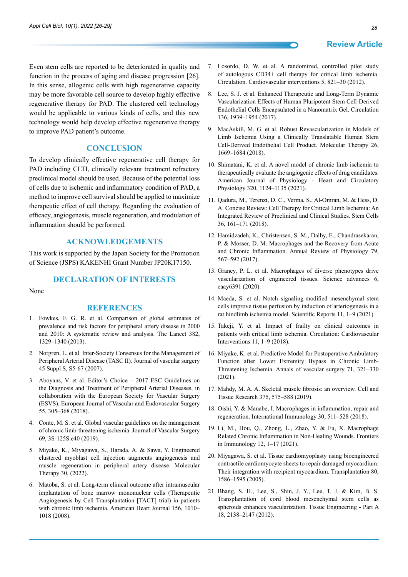**Review Article**

Even stem cells are reported to be deteriorated in quality and function in the process of aging and disease progression [26]. In this sense, allogenic cells with high regenerative capacity may be more favorable cell source to develop highly effective regenerative therapy for PAD. The clustered cell technology would be applicable to various kinds of cells, and this new technology would help develop effective regenerative therapy to improve PAD patient's outcome.

#### **Conclusion**

To develop clinically effective regenerative cell therapy for PAD including CLTI, clinically relevant treatment refractory preclinical model should be used. Because of the potential loss of cells due to ischemic and inflammatory condition of PAD, a method to improve cell survival should be applied to maximize therapeutic effect of cell therapy. Regarding the evaluation of efficacy, angiogenesis, muscle regeneration, and modulation of inflammation should be performed.

#### **Acknowledgements**

This work is supported by the Japan Society for the Promotion of Science (JSPS) KAKENHI Grant Number JP20K17150.

#### **Declaration of Interests**

None

#### **REFERENCES**

- 1. Fowkes, F. G. R. et al. Comparison of global estimates of prevalence and risk factors for peripheral artery disease in 2000 and 2010: A systematic review and analysis. The Lancet 382, 1329–1340 (2013).
- 2. Norgren, L. et al. Inter-Society Consensus for the Management of Peripheral Arterial Disease (TASC II). Journal of vascular surgery 45 Suppl S, S5-67 (2007).
- 3. Aboyans, V. et al. Editor's Choice 2017 ESC Guidelines on the Diagnosis and Treatment of Peripheral Arterial Diseases, in collaboration with the European Society for Vascular Surgery (ESVS). European Journal of Vascular and Endovascular Surgery 55, 305–368 (2018).
- 4. Conte, M. S. et al. Global vascular guidelines on the management of chronic limb-threatening ischemia. Journal of Vascular Surgery 69, 3S-125S.e40 (2019).
- 5. Miyake, K., Miyagawa, S., Harada, A. & Sawa, Y. Engineered clustered myoblast cell injection augments angiogenesis and muscle regeneration in peripheral artery disease. Molecular Therapy 30, (2022).
- 6. Matoba, S. et al. Long-term clinical outcome after intramuscular implantation of bone marrow mononuclear cells (Therapeutic Angiogenesis by Cell Transplantation [TACT] trial) in patients with chronic limb ischemia. American Heart Journal 156, 1010– 1018 (2008).
- 7. Losordo, D. W. et al. A randomized, controlled pilot study of autologous CD34+ cell therapy for critical limb ischemia. Circulation. Cardiovascular interventions 5, 821–30 (2012).
- 8. Lee, S. J. et al. Enhanced Therapeutic and Long-Term Dynamic Vascularization Effects of Human Pluripotent Stem Cell-Derived Endothelial Cells Encapsulated in a Nanomatrix Gel. Circulation 136, 1939–1954 (2017).
- 9. MacAskill, M. G. et al. Robust Revascularization in Models of Limb Ischemia Using a Clinically Translatable Human Stem Cell-Derived Endothelial Cell Product. Molecular Therapy 26, 1669–1684 (2018).
- 10. Shimatani, K. et al. A novel model of chronic limb ischemia to therapeutically evaluate the angiogenic effects of drug candidates. American Journal of Physiology - Heart and Circulatory Physiology 320, 1124–1135 (2021).
- 11. Qadura, M., Terenzi, D. C., Verma, S., Al-Omran, M. & Hess, D. A. Concise Review: Cell Therapy for Critical Limb Ischemia: An Integrated Review of Preclinical and Clinical Studies. Stem Cells 36, 161–171 (2018).
- 12. Hamidzadeh, K., Christensen, S. M., Dalby, E., Chandrasekaran, P. & Mosser, D. M. Macrophages and the Recovery from Acute and Chronic Inflammation. Annual Review of Physiology 79, 567–592 (2017).
- 13. Graney, P. L. et al. Macrophages of diverse phenotypes drive vascularization of engineered tissues. Science advances 6, eaay6391 (2020).
- 14. Maeda, S. et al. Notch signaling-modified mesenchymal stem cells improve tissue perfusion by induction of arteriogenesis in a rat hindlimb ischemia model. Scientific Reports 11, 1–9 (2021).
- 15. Takeji, Y. et al. Impact of frailty on clinical outcomes in patients with critical limb ischemia. Circulation: Cardiovascular Interventions 11, 1–9 (2018).
- 16. Miyake, K. et al. Predictive Model for Postoperative Ambulatory Function after Lower Extremity Bypass in Chronic Limb-Threatening Ischemia. Annals of vascular surgery 71, 321–330 (2021).
- 17. Mahdy, M. A. A. Skeletal muscle fibrosis: an overview. Cell and Tissue Research 375, 575–588 (2019).
- 18. Oishi, Y. & Manabe, I. Macrophages in inflammation, repair and regeneration. International Immunology 30, 511–528 (2018).
- 19. Li, M., Hou, Q., Zhong, L., Zhao, Y. & Fu, X. Macrophage Related Chronic Inflammation in Non-Healing Wounds. Frontiers in Immunology 12, 1–17 (2021).
- 20. Miyagawa, S. et al. Tissue cardiomyoplasty using bioengineered contractile cardiomyocyte sheets to repair damaged myocardium: Their integration with recipient myocardium. Transplantation 80, 1586–1595 (2005).
- 21. Bhang, S. H., Lee, S., Shin, J. Y., Lee, T. J. & Kim, B. S. Transplantation of cord blood mesenchymal stem cells as spheroids enhances vascularization. Tissue Engineering - Part A 18, 2138–2147 (2012).